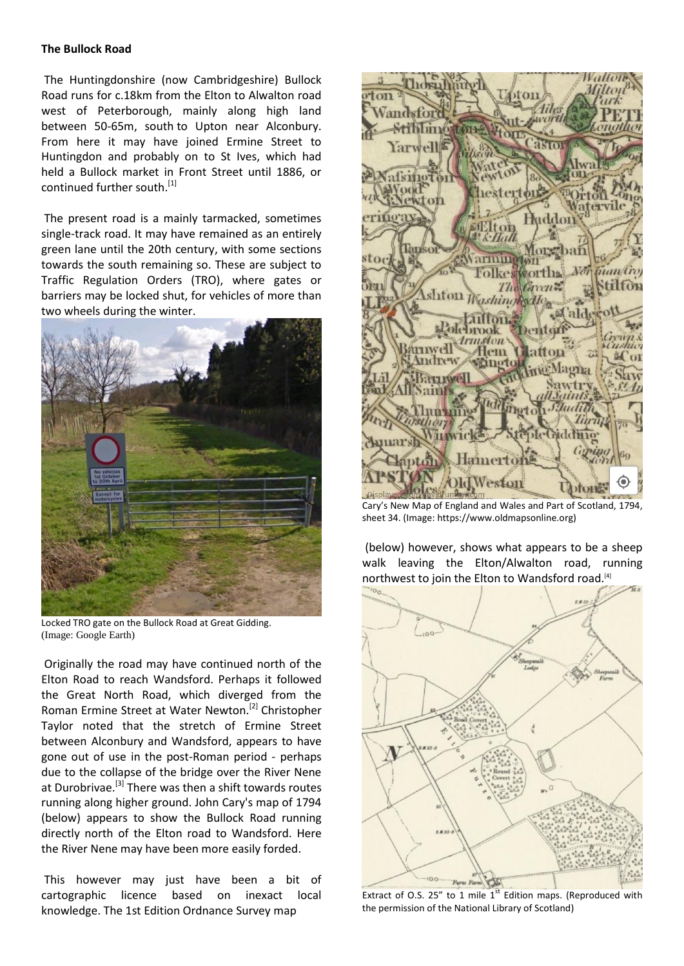## **The Bullock Road**

 The Huntingdonshire (now Cambridgeshire) Bullock Road runs for c.18km from the Elton to Alwalton road west of Peterborough, mainly along high land between 50-65m, south to Upton near Alconbury. From here it may have joined Ermine Street to Huntingdon and probably on to St Ives, which had held a Bullock market in Front Street until 1886, or continued further south.<sup>[1]</sup>

 The present road is a mainly tarmacked, sometimes single-track road. It may have remained as an entirely green lane until the 20th century, with some sections towards the south remaining so. These are subject to Traffic Regulation Orders (TRO), where gates or barriers may be locked shut, for vehicles of more than two wheels during the winter.



Locked TRO gate on the Bullock Road at Great Gidding. (Image: Google Earth)

Originally the road may have continued north of the Elton Road to reach Wandsford. Perhaps it followed the Great North Road, which diverged from the Roman Ermine Street at Water Newton.<sup>[2]</sup> Christopher Taylor noted that the stretch of Ermine Street between Alconbury and Wandsford, appears to have gone out of use in the post-Roman period - perhaps due to the collapse of the bridge over the River Nene at Durobrivae.<sup>[3]</sup> There was then a shift towards routes running along higher ground. John Cary's map of 1794 (below) appears to show the Bullock Road running directly north of the Elton road to Wandsford. Here the River Nene may have been more easily forded.

 This however may just have been a bit of cartographic licence based on inexact local knowledge. The 1st Edition Ordnance Survey map



Cary's New Map of England and Wales and Part of Scotland, 1794, sheet 34. (Image: https://www.oldmapsonline.org)

 (below) however, shows what appears to be a sheep walk leaving the Elton/Alwalton road, running northwest to join the Elton to Wandsford road. [4]



Extract of O.S. 25" to 1 mile  $1<sup>st</sup>$  Edition maps. (Reproduced with the permission of the National Library of Scotland)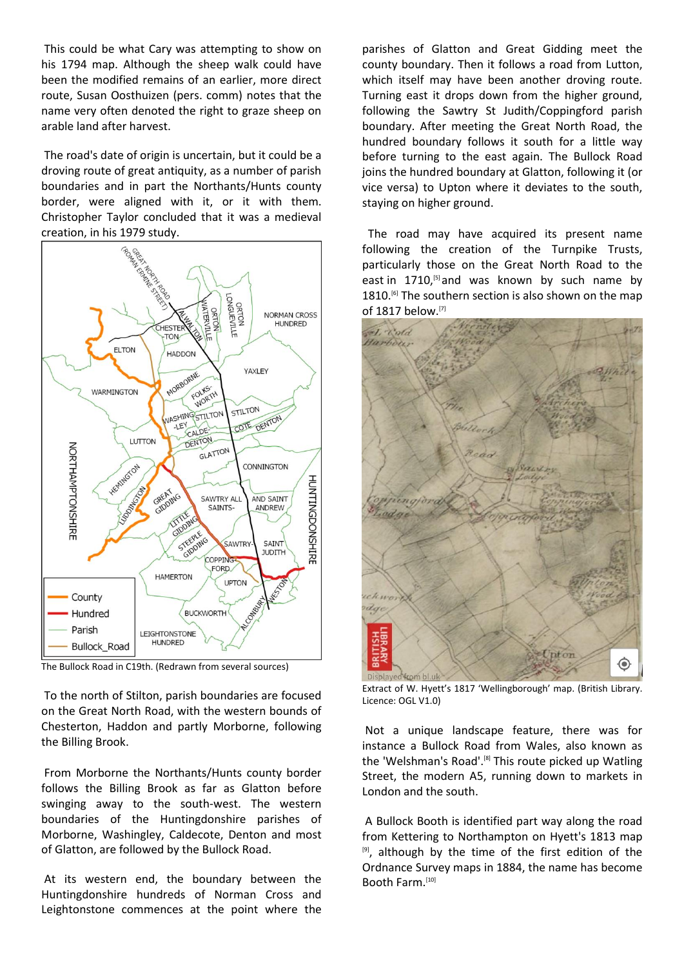This could be what Cary was attempting to show on his 1794 map. Although the sheep walk could have been the modified remains of an earlier, more direct route, Susan Oosthuizen (pers. comm) notes that the name very often denoted the right to graze sheep on arable land after harvest.

 The road's date of origin is uncertain, but it could be a droving route of great antiquity, as a number of parish boundaries and in part the Northants/Hunts county border, were aligned with it, or it with them. Christopher Taylor concluded that it was a medieval creation, in his 1979 study.



The Bullock Road in C19th. (Redrawn from several sources)

To the north of Stilton, parish boundaries are focused on the Great North Road, with the western bounds of Chesterton, Haddon and partly Morborne, following the Billing Brook.

From Morborne the Northants/Hunts county border follows the Billing Brook as far as Glatton before swinging away to the south-west. The western boundaries of the Huntingdonshire parishes of Morborne, Washingley, Caldecote, Denton and most of Glatton, are followed by the Bullock Road.

 At its western end, the boundary between the Huntingdonshire hundreds of Norman Cross and Leightonstone commences at the point where the

parishes of Glatton and Great Gidding meet the county boundary. Then it follows a road from Lutton, which itself may have been another droving route. Turning east it drops down from the higher ground, following the Sawtry St Judith/Coppingford parish boundary. After meeting the Great North Road, the hundred boundary follows it south for a little way before turning to the east again. The Bullock Road joins the hundred boundary at Glatton, following it (or vice versa) to Upton where it deviates to the south, staying on higher ground.

  The road may have acquired its present name following the creation of the Turnpike Trusts, particularly those on the Great North Road to the east in 1710,<sup>[5]</sup> and was known by such name by 1810.<sup>[6]</sup> The southern section is also shown on the map of 1817 below. [7]



Extract of W. Hyett's 1817 'Wellingborough' map. (British Library. Licence: OGL V1.0)

Not a unique landscape feature, there was for instance a Bullock Road from Wales, also known as the 'Welshman's Road'.<sup>[8]</sup> This route picked up Watling Street, the modern A5, running down to markets in London and the south.

 A Bullock Booth is identified part way along the road from Kettering to Northampton on Hyett's 1813 map [9] , although by the time of the first edition of the Ordnance Survey maps in 1884, the name has become Booth Farm. [10]